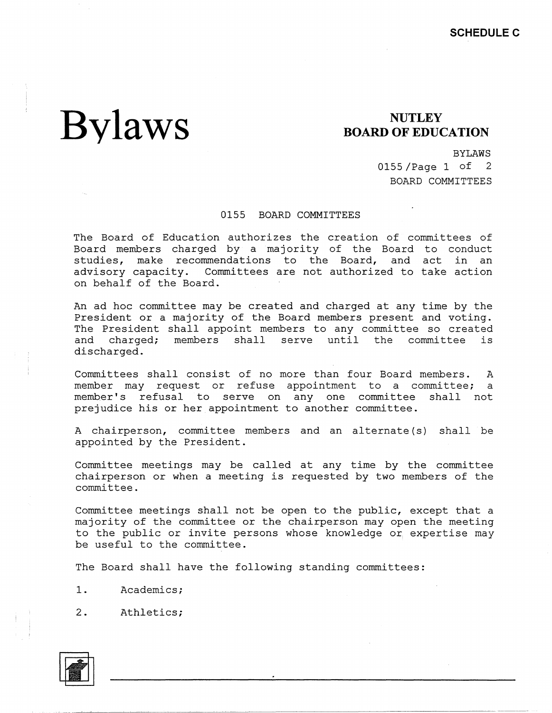## **Bylaws**

### **NUTLEY BOARD OF EDUCATION**

BYLAWS

0155 /Page 1 of 2 BOARD COMMITTEES

#### 0155 BOARD COMMITTEES

The Board of Education authorizes the creation of committees of Board members charged by a majority of the Board to conduct studies, make recommendations to the Board, and act in an advisory capacity. Committees are not authorized to take action on behalf of the Board.

An ad hoc committee may be created and charged at any time by the President or a majority of the Board members present and voting. The President shall appoint members to any committee so created and charged; members shall serve until the committee is discharged.

Committees shall consist of no more than four Board members. A member may request or refuse appointment to a committee; a member's refusal to serve on any one committee shall not prejudice his or her appointment to another committee.

A chairperson, committee members and an alternate(s) shall be appointed by the President.

Committee meetings may be called at any time by the committee chairperson or when a meeting is requested by two members of the committee.

Committee meetings shall not be open to the public, except that a majority of the committee or the chairperson may open the meeting to the public or invite persons whose knowledge or expertise may be useful to the committee.

The Board shall have the following standing committees:

- 1. Academics;
- 2. Athletics;